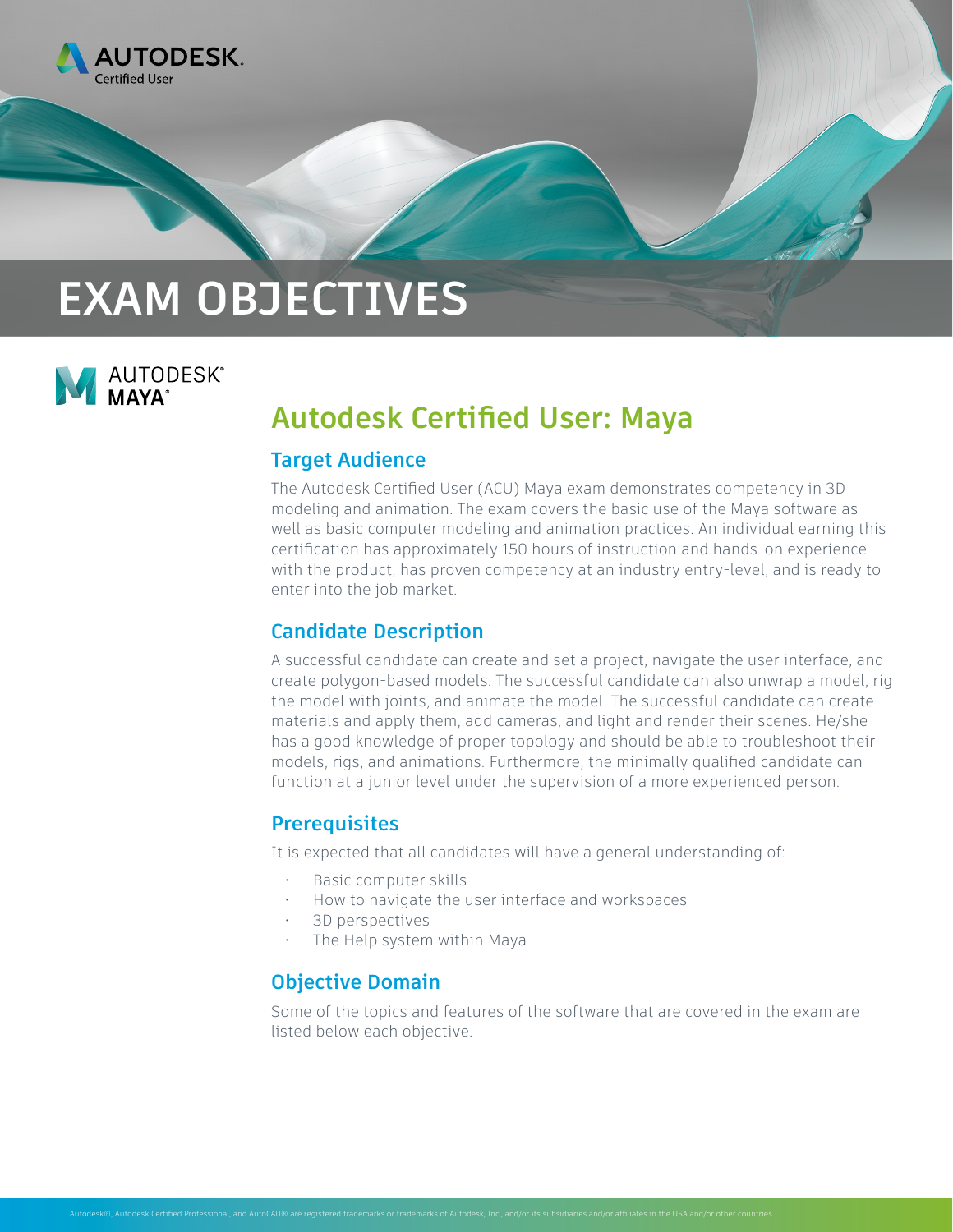

# **EXAM OBJECTIVES**



# **Autodesk Certified User: Maya**

# **Target Audience**

The Autodesk Certified User (ACU) Maya exam demonstrates competency in 3D modeling and animation. The exam covers the basic use of the Maya software as well as basic computer modeling and animation practices. An individual earning this certification has approximately 150 hours of instruction and hands-on experience with the product, has proven competency at an industry entry-level, and is ready to enter into the job market.

# **Candidate Description**

A successful candidate can create and set a project, navigate the user interface, and create polygon-based models. The successful candidate can also unwrap a model, rig the model with joints, and animate the model. The successful candidate can create materials and apply them, add cameras, and light and render their scenes. He/she has a good knowledge of proper topology and should be able to troubleshoot their models, rigs, and animations. Furthermore, the minimally qualified candidate can function at a junior level under the supervision of a more experienced person.

# **Prerequisites**

It is expected that all candidates will have a general understanding of:

- Basic computer skills
- How to navigate the user interface and workspaces
- 3D perspectives
- The Help system within Maya

# **Objective Domain**

Some of the topics and features of the software that are covered in the exam are listed below each objective.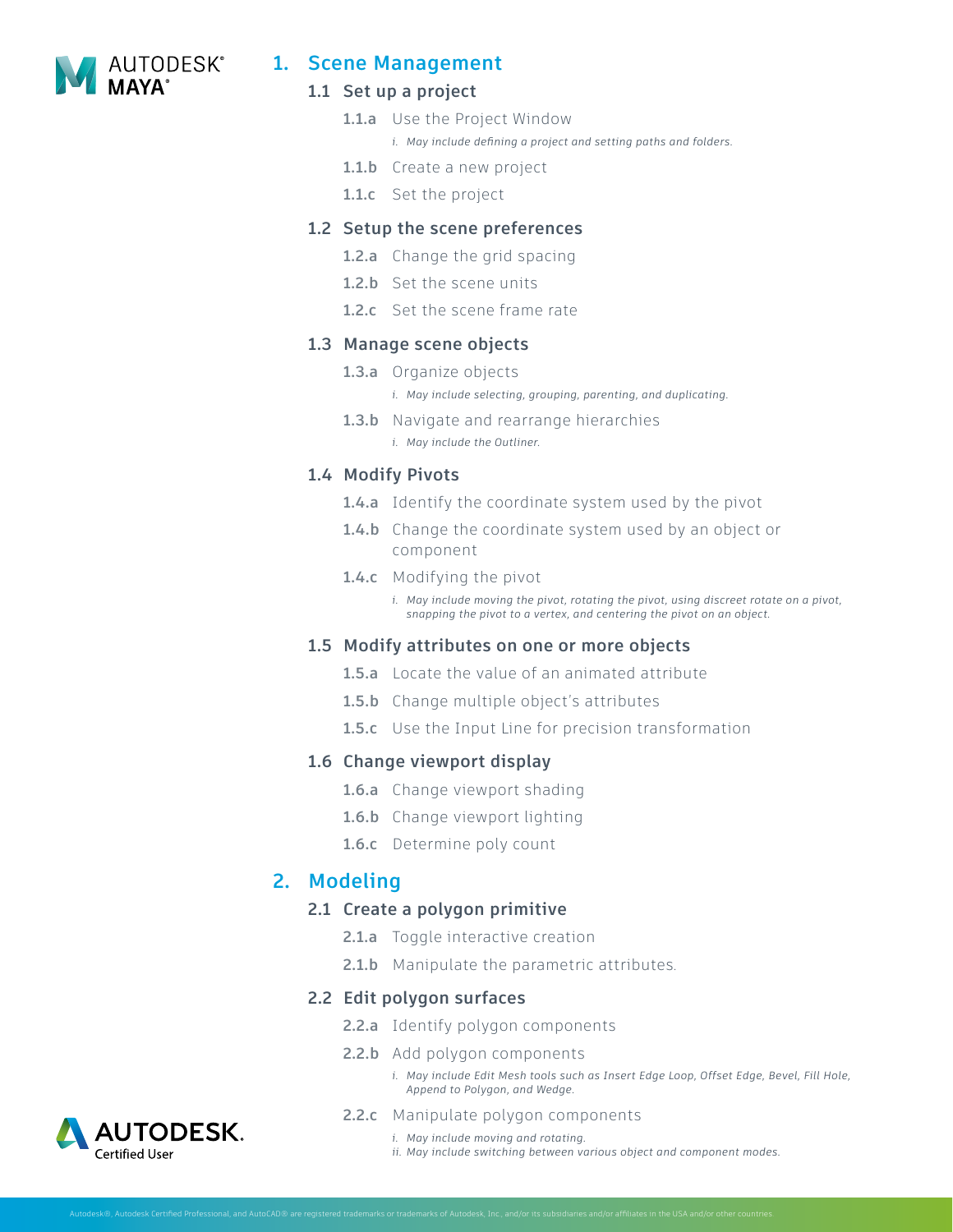

# **1. Scene Management**

#### **1.1 Set up a project**

- **1.1.a** Use the Project Window *i. May include defining a project and setting paths and folders.*
- **1.1.b** Create a new project
- **1.1.c** Set the project

#### **1.2 Setup the scene preferences**

- **1.2.a** Change the grid spacing
- **1.2.b** Set the scene units
- **1.2.c** Set the scene frame rate

#### **1.3 Manage scene objects**

- **1.3.a** Organize objects
	- *i. May include selecting, grouping, parenting, and duplicating.*
- **1.3.b** Navigate and rearrange hierarchies *i. May include the Outliner.*

#### **1.4 Modify Pivots**

- **1.4.a** Identify the coordinate system used by the pivot
- **1.4.b** Change the coordinate system used by an object or component

#### **1.4.c** Modifying the pivot

*i. May include moving the pivot, rotating the pivot, using discreet rotate on a pivot, snapping the pivot to a vertex, and centering the pivot on an object.*

#### **1.5 Modify attributes on one or more objects**

- **1.5.a** Locate the value of an animated attribute
- **1.5.b** Change multiple object's attributes
- **1.5.c** Use the Input Line for precision transformation

#### **1.6 Change viewport display**

- **1.6.a** Change viewport shading
- **1.6.b** Change viewport lighting
- **1.6.c** Determine poly count

# **2. Modeling**

#### **2.1 Create a polygon primitive**

- **2.1.a** Toggle interactive creation
- **2.1.b** Manipulate the parametric attributes*.*

#### **2.2 Edit polygon surfaces**

- **2.2.a** Identify polygon components
- **2.2.b** Add polygon components
	- *i. May include Edit Mesh tools such as Insert Edge Loop, Offset Edge, Bevel, Fill Hole, Append to Polygon, and Wedge.*
- **2.2.c** Manipulate polygon components
	- *i. May include moving and rotating.*
	- *ii. May include switching between various object and component modes.*

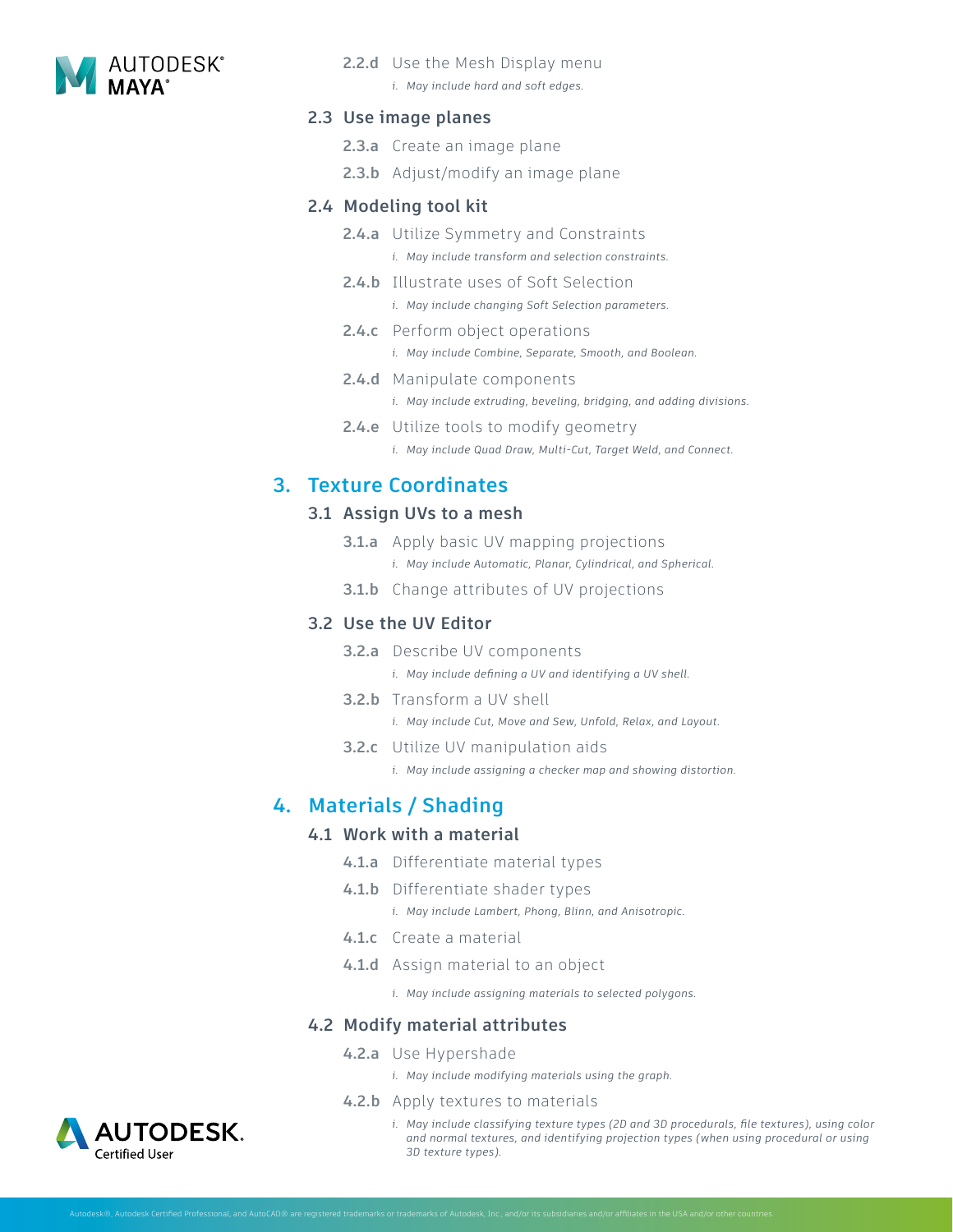

**2.2.d** Use the Mesh Display menu *i. May include hard and soft edges.*

#### **2.3 Use image planes**

- **2.3.a** Create an image plane
- **2.3.b** Adjust/modify an image plane

#### **2.4 Modeling tool kit**

- **2.4.a** Utilize Symmetry and Constraints *i. May include transform and selection constraints.*
- **2.4.b** Illustrate uses of Soft Selection *i. May include changing Soft Selection parameters.*
- **2.4.c** Perform object operations *i. May include Combine, Separate, Smooth, and Boolean.*
- **2.4.d** Manipulate components *i. May include extruding, beveling, bridging, and adding divisions.*
- **2.4.e** Utilize tools to modify geometry *i. May include Quad Draw, Multi-Cut, Target Weld, and Connect.*

# **3. Texture Coordinates**

#### **3.1 Assign UVs to a mesh**

- **3.1.a** Apply basic UV mapping projections *i. May include Automatic, Planar, Cylindrical, and Spherical.*
- **3.1.b** Change attributes of UV projections

#### **3.2 Use the UV Editor**

- **3.2.a** Describe UV components *i. May include defining a UV and identifying a UV shell.*
- **3.2.b** Transform a UV shell
	- *i. May include Cut, Move and Sew, Unfold, Relax, and Layout.*
- **3.2.c** Utilize UV manipulation aids
	- *i. May include assigning a checker map and showing distortion.*

# **4. Materials / Shading**

#### **4.1 Work with a material**

- **4.1.a** Differentiate material types
- **4.1.b** Differentiate shader types
	- *i. May include Lambert, Phong, Blinn, and Anisotropic.*
- **4.1.c** Create a material
- **4.1.d** Assign material to an object

*i. May include assigning materials to selected polygons.*

#### **4.2 Modify material attributes**

- **4.2.a** Use Hypershade
	- *i. May include modifying materials using the graph.*
- **4.2.b** Apply textures to materials
	- *i. May include classifying texture types (2D and 3D procedurals, file textures), using color and normal textures, and identifying projection types (when using procedural or using 3D texture types).*

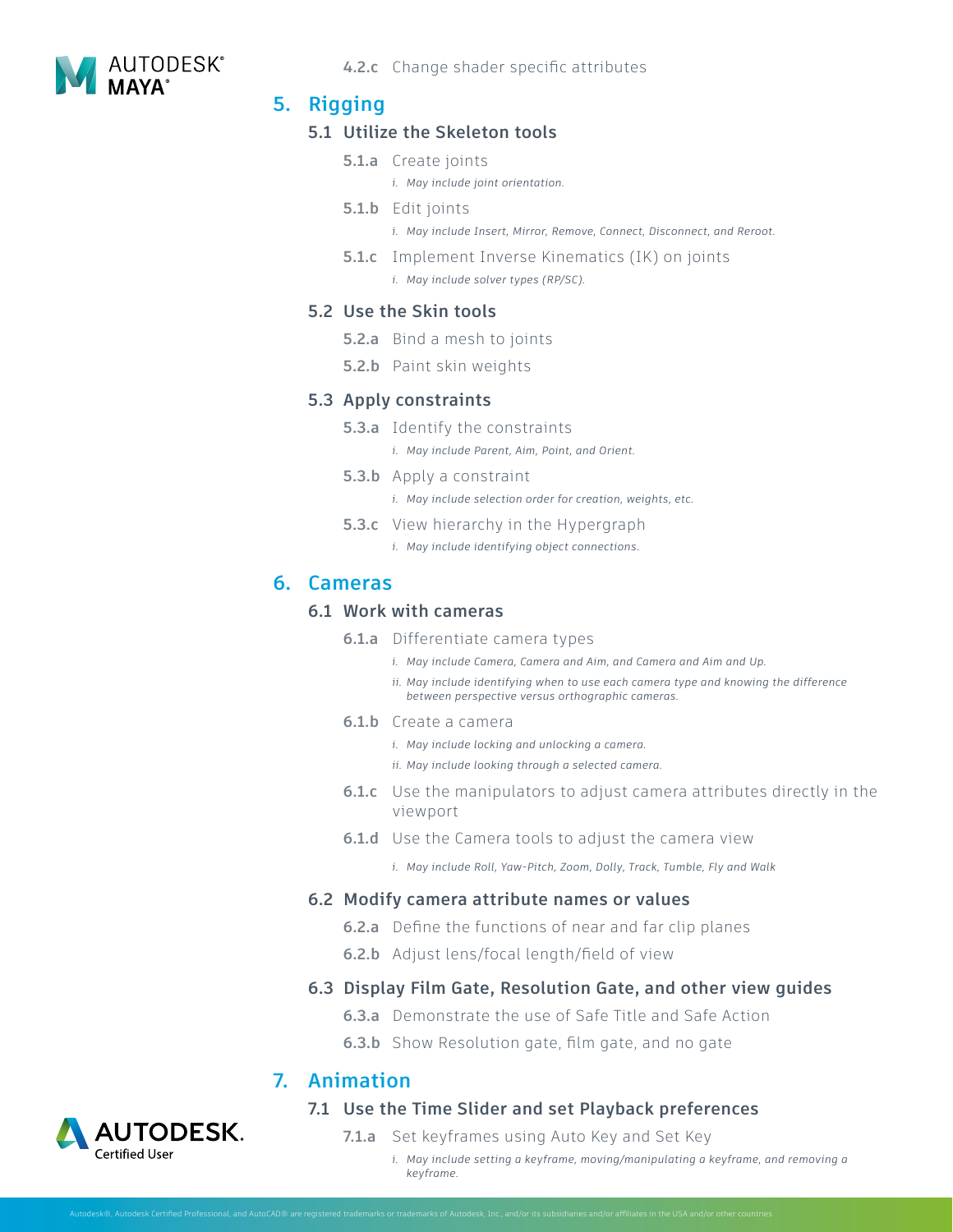

# **5. Rigging**

#### **5.1 Utilize the Skeleton tools**

- **5.1.a** Create joints
	- *i. May include joint orientation.*
- **5.1.b** Edit joints
	- *i. May include Insert, Mirror, Remove, Connect, Disconnect, and Reroot.*
- **5.1.c** Implement Inverse Kinematics (IK) on joints *i. May include solver types (RP/SC).*

#### **5.2 Use the Skin tools**

- **5.2.a** Bind a mesh to joints
- **5.2.b** Paint skin weights

#### **5.3 Apply constraints**

**5.3.a** Identify the constraints

*i. May include Parent, Aim, Point, and Orient.*

**5.3.b** Apply a constraint

*i. May include selection order for creation, weights, etc.*

- **5.3.c** View hierarchy in the Hypergraph
	- *i. May include identifying object connections.*

# **6. Cameras**

#### **6.1 Work with cameras**

- **6.1.a** Differentiate camera types
	- *i. May include Camera, Camera and Aim, and Camera and Aim and Up.*
	- *ii. May include identifying when to use each camera type and knowing the difference between perspective versus orthographic cameras.*
- **6.1.b** Create a camera
	- *i. May include locking and unlocking a camera.*
	- *ii. May include looking through a selected camera.*
- **6.1.c** Use the manipulators to adjust camera attributes directly in the viewport
- **6.1.d** Use the Camera tools to adjust the camera view

*i. May include Roll, Yaw-Pitch, Zoom, Dolly, Track, Tumble, Fly and Walk*

#### **6.2 Modify camera attribute names or values**

- **6.2.a** Define the functions of near and far clip planes
- **6.2.b** Adjust lens/focal length/field of view

# **6.3 Display Film Gate, Resolution Gate, and other view guides**

- **6.3.a** Demonstrate the use of Safe Title and Safe Action
- **6.3.b** Show Resolution gate, film gate, and no gate

# **7. Animation**

**7.1 Use the Time Slider and set Playback preferences**



- **7.1.a** Set keyframes using Auto Key and Set Key
	- *i. May include setting a keyframe, moving/manipulating a keyframe, and removing a keyframe.*